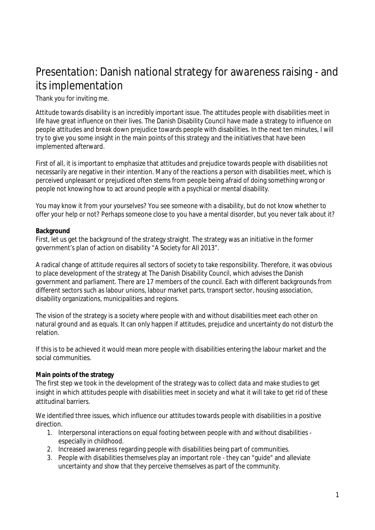# Presentation: Danish national strategy for awareness raising - and its implementation

Thank you for inviting me.

Attitude towards disability is an incredibly important issue. The attitudes people with disabilities meet in life have great influence on their lives. The Danish Disability Council have made a strategy to influence on people attitudes and break down prejudice towards people with disabilities. In the next ten minutes, I will try to give you some insight in the main points of this strategy and the initiatives that have been implemented afterward.

First of all, it is important to emphasize that attitudes and prejudice towards people with disabilities not necessarily are negative in their intention. Many of the reactions a person with disabilities meet, which is perceived unpleasant or prejudiced often stems from people being afraid of doing something wrong or people not knowing how to act around people with a psychical or mental disability.

You may know it from your yourselves? You see someone with a disability, but do not know whether to offer your help or not? Perhaps someone close to you have a mental disorder, but you never talk about it?

#### **Background**

First, let us get the background of the strategy straight. The strategy was an initiative in the former government's plan of action on disability "A Society for All 2013".

A radical change of attitude requires all sectors of society to take responsibility. Therefore, it was obvious to place development of the strategy at The Danish Disability Council, which advises the Danish government and parliament. There are 17 members of the council. Each with different backgrounds from different sectors such as labour unions, labour market parts, transport sector, housing association, disability organizations, municipalities and regions.

The vision of the strategy is a society where people with and without disabilities meet each other on natural ground and as equals. It can only happen if attitudes, prejudice and uncertainty do not disturb the relation.

If this is to be achieved it would mean more people with disabilities entering the labour market and the social communities.

#### **Main points of the strategy**

The first step we took in the development of the strategy was to collect data and make studies to get insight in which attitudes people with disabilities meet in society and what it will take to get rid of these attitudinal barriers.

We identified three issues, which influence our attitudes towards people with disabilities in a positive direction.

- 1. Interpersonal interactions on equal footing between people with and without disabilities especially in childhood.
- 2. Increased awareness regarding people with disabilities being part of communities.
- 3. People with disabilities themselves play an important role they can "guide" and alleviate uncertainty and show that they perceive themselves as part of the community.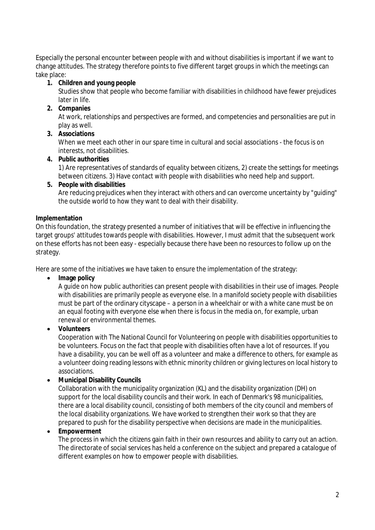Especially the personal encounter between people with and without disabilities is important if we want to change attitudes. The strategy therefore points to five different target groups in which the meetings can take place:

- **1. Children and young people**
	- Studies show that people who become familiar with disabilities in childhood have fewer prejudices later in life.
- **2. Companies**

At work, relationships and perspectives are formed, and competencies and personalities are put in play as well.

**3. Associations**

When we meet each other in our spare time in cultural and social associations - the focus is on interests, not disabilities.

**4. Public authorities** 

1) Are representatives of standards of equality between citizens, 2) create the settings for meetings between citizens. 3) Have contact with people with disabilities who need help and support.

**5. People with disabilities** Are reducing prejudices when they interact with others and can overcome uncertainty by "guiding" the outside world to how they want to deal with their disability.

## **Implementation**

On this foundation, the strategy presented a number of initiatives that will be effective in influencing the target groups' attitudes towards people with disabilities. However, I must admit that the subsequent work on these efforts has not been easy - especially because there have been no resources to follow up on the strategy.

Here are some of the initiatives we have taken to ensure the implementation of the strategy:

• Image policy

A guide on how public authorities can present people with disabilities in their use of images. People with disabilities are primarily people as everyone else. In a manifold society people with disabilities must be part of the ordinary cityscape – a person in a wheelchair or with a white cane must be on an equal footing with everyone else when there is focus in the media on, for example, urban renewal or environmental themes.

**Volunteers**

Cooperation with The National Council for Volunteering on people with disabilities opportunities to be volunteers. Focus on the fact that people with disabilities often have a lot of resources. If you have a disability, you can be well off as a volunteer and make a difference to others, for example as a volunteer doing reading lessons with ethnic minority children or giving lectures on local history to associations.

**Municipal Disability Councils**

Collaboration with the municipality organization (KL) and the disability organization (DH) on support for the local disability councils and their work. In each of Denmark's 98 municipalities, there are a local disability council, consisting of both members of the city council and members of the local disability organizations. We have worked to strengthen their work so that they are prepared to push for the disability perspective when decisions are made in the municipalities.

**Empowerment**

The process in which the citizens gain faith in their own resources and ability to carry out an action. The directorate of social services has held a conference on the subject and prepared a catalogue of different examples on how to empower people with disabilities.